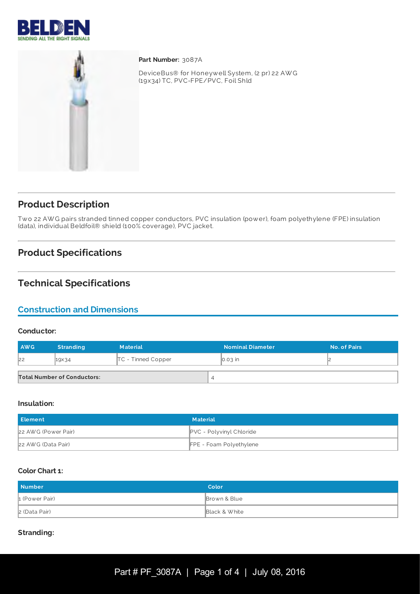



Part Number: 3087A

DeviceBus® for Honeywell System, (2 pr) 22 AW G (19x34) TC, PVC-FPE/PVC, Foil Shld

## **Product Description**

Two 22 AW G pairs stranded tinned copper conductors, PVC insulation (power), foam polyethylene (FPE) insulation (data), individual Beldfoil® shield (100% coverage), PVC jacket.

## **Product Specifications**

### **Technical Specifications**

### **Construction and Dimensions**

#### **Conductor:**

| <b>AWG</b> | <b>Stranding</b>                   | <b>Material</b>      | <b>Nominal Diameter</b> | No. of Pairs |
|------------|------------------------------------|----------------------|-------------------------|--------------|
| 22         | 19×34                              | $TC$ - Tinned Copper | $\big  0.03 \big $ in   |              |
|            | <b>Total Number of Conductors:</b> | $\overline{4}$       |                         |              |

#### **Insulation:**

| <b>Element</b>      | <b>Material</b>          |
|---------------------|--------------------------|
| 22 AWG (Power Pair) | PVC - Polyvinyl Chloride |
| 22 AWG (Data Pair)  | FPE - Foam Polyethylene  |

#### **Color Chart 1:**

| <b>Number</b>  | Color         |
|----------------|---------------|
| 1 (Power Pair) | Brown & Blue  |
| 2 (Data Pair)  | Black & White |

#### **Stranding:**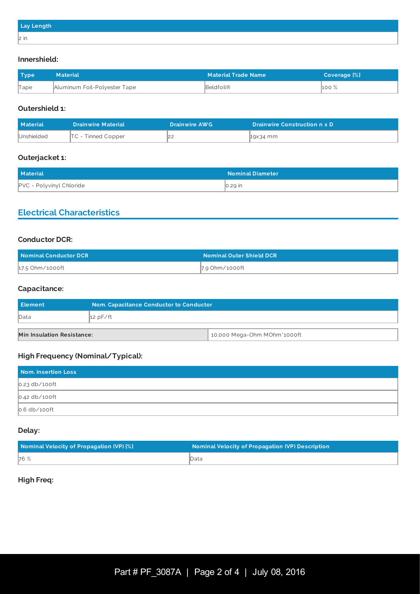| Lay Length |  |
|------------|--|
| $ 2$ in    |  |

#### **Innershield:**

| <b>Type</b> | <b>Material</b>              | <b>Material Trade Name</b> | Coverage [%] |
|-------------|------------------------------|----------------------------|--------------|
| Tape        | Aluminum Foil-Polyester Tape | Beldfoil®                  | $100\%$      |

#### **Outershield 1:**

| <b>Material</b> | <b>Drainwire Material</b> | <b>Drainwire AWG</b> | <b>Drainwire Construction n x D</b> |
|-----------------|---------------------------|----------------------|-------------------------------------|
| Unshielded      | $TC$ - Tinned Copper      |                      | <b>1</b> 9x34 mm                    |

#### **Outerjacket 1:**

| <b>Material</b>                 | <b>Nominal Diameter</b> |
|---------------------------------|-------------------------|
| <b>PVC - Polyvinyl Chloride</b> | $\vert$ 0.29 in         |

### **Electrical Characteristics**

#### **Conductor DCR:**

| Nominal Conductor DCR \ | <b>Nominal Outer Shield DCR</b> |
|-------------------------|---------------------------------|
| 17.5 Ohm/1000ft         | 7.9 Ohm/1000ft                  |

#### **Capacitance:**

| <b>Element</b>                                                   | Nom. Capacitance Conductor to Conductor |  |
|------------------------------------------------------------------|-----------------------------------------|--|
| Data                                                             | 12 pF/ft                                |  |
| 10,000 Mega-Ohm MOhm*1000ft<br><b>Min Insulation Resistance:</b> |                                         |  |

### **High Frequency (Nominal/Typical):**

| Nom. Insertion Loss |  |
|---------------------|--|
| $0.23$ db/100ft     |  |
| $0.42$ db/100ft     |  |
| $0.6$ db/100ft      |  |

#### **Delay:**

| Nominal Velocity of Propagation (VP) [%] | <b>Nominal Velocity of Propagation (VP) Description</b> |
|------------------------------------------|---------------------------------------------------------|
| 76 %                                     | ∥Data                                                   |

#### **High Freq:**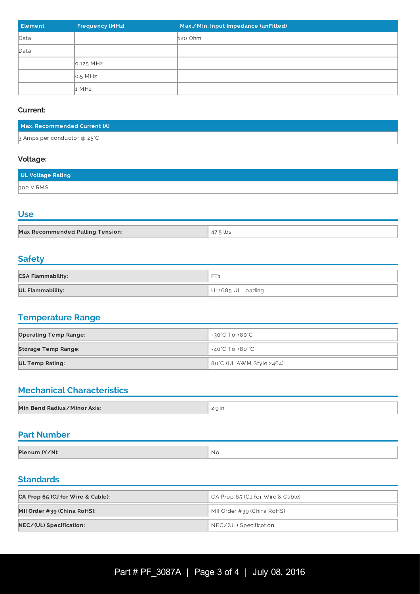| <b>Element</b> | <b>Frequency [MHz]</b> | Max./Min. Input Impedance (unFitted) |
|----------------|------------------------|--------------------------------------|
| Data           |                        | 120 Ohm                              |
| Data           |                        |                                      |
|                | $0.125$ MHz            |                                      |
|                | $\big $ 0.5 MHz        |                                      |
|                | $\vert$ 1 MHz          |                                      |

#### **Current:**

| Max. Recommended Current [A] |  |
|------------------------------|--|
| 3 Amps per conductor @ 25°C  |  |

#### **Voltage:**

| <b>UL Voltage Rating</b> |  |
|--------------------------|--|
| 300 V RMS                |  |

### **Use**

| <b>Max Recommended Pulling Tension:</b> | .5 lbs |
|-----------------------------------------|--------|

### **Safety**

| <b>CSA Flammability:</b> | $-$               |
|--------------------------|-------------------|
| UL Flammability:         | UL1685 UL Loading |

# **Temperature Range**

| <b>Operating Temp Range:</b> | -30°C To +80°C           |
|------------------------------|--------------------------|
| <b>Storage Temp Range:</b>   | -40°C To +80 °C          |
| <b>UL Temp Rating:</b>       | 80°C (UL AWM Style 2464) |

# **Mechanical Characteristics**

| Min Bend Radius/Minor Axis: | 2.9 <sub>in</sub> |
|-----------------------------|-------------------|

### **Part Number**

| Plenum (Y/N):<br>' No |  |
|-----------------------|--|
|                       |  |

### **Standards**

| CA Prop 65 (CJ for Wire & Cable): | CA Prop 65 (CJ for Wire & Cable) |  |
|-----------------------------------|----------------------------------|--|
| MII Order #39 (China RoHS):       | MII Order #39 (China RoHS)       |  |
| NEC/(UL) Specification:           | NEC/(UL) Specification           |  |